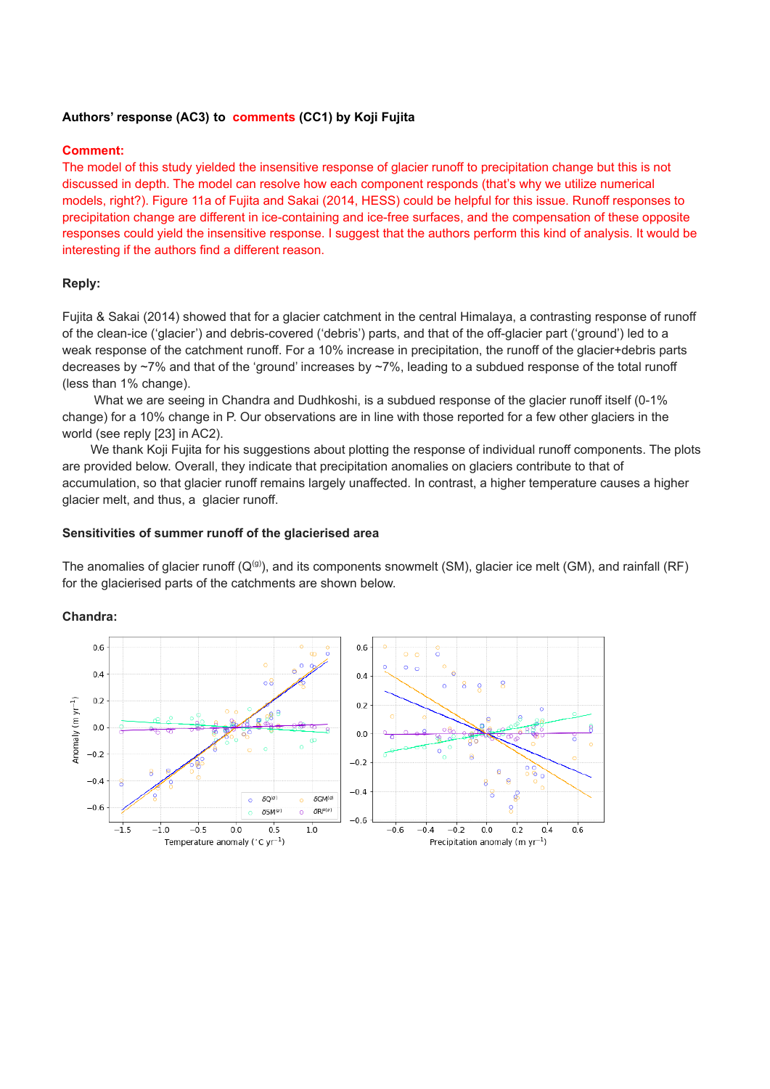## **Authors' response (AC3) to comments (CC1) by Koji Fujita**

### **Comment:**

The model of this study yielded the insensitive response of glacier runoff to precipitation change but this is not discussed in depth. The model can resolve how each component responds (that's why we utilize numerical models, right?). Figure 11a of Fujita and Sakai (2014, HESS) could be helpful for this issue. Runoff responses to precipitation change are different in ice-containing and ice-free surfaces, and the compensation of these opposite responses could yield the insensitive response. I suggest that the authors perform this kind of analysis. It would be interesting if the authors find a different reason.

# **Reply:**

Fujita & Sakai (2014) showed that for a glacier catchment in the central Himalaya, a contrasting response of runoff of the clean-ice ('glacier') and debris-covered ('debris') parts, and that of the off-glacier part ('ground') led to a weak response of the catchment runoff. For a 10% increase in precipitation, the runoff of the glacier+debris parts decreases by ~7% and that of the 'ground' increases by ~7%, leading to a subdued response of the total runoff (less than 1% change).

What we are seeing in Chandra and Dudhkoshi, is a subdued response of the glacier runoff itself (0-1%) change) for a 10% change in P. Our observations are in line with those reported for a few other glaciers in the world (see reply [23] in AC2).

We thank Koji Fujita for his suggestions about plotting the response of individual runoff components. The plots are provided below. Overall, they indicate that precipitation anomalies on glaciers contribute to that of accumulation, so that glacier runoff remains largely unaffected. In contrast, a higher temperature causes a higher glacier melt, and thus, a glacier runoff.

## **Sensitivities of summer runoff of the glacierised area**

The anomalies of glacier runoff  $(Q^{(g)})$ , and its components snowmelt (SM), glacier ice melt (GM), and rainfall (RF) for the glacierised parts of the catchments are shown below.

**Chandra:**

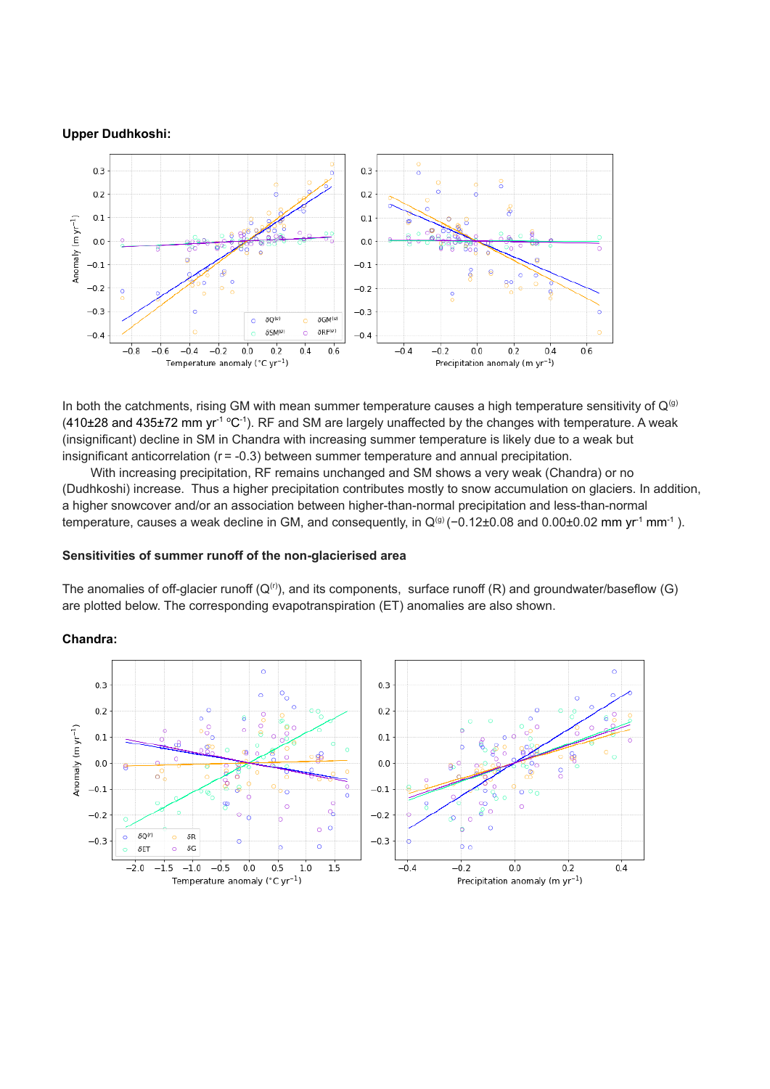#### **Upper Dudhkoshi:**



In both the catchments, rising GM with mean summer temperature causes a high temperature sensitivity of  $Q^{(g)}$  $(410\pm28$  and  $435\pm72$  mm yr<sup>-1 o</sup>C<sup>-1</sup>). RF and SM are largely unaffected by the changes with temperature. A weak (insignificant) decline in SM in Chandra with increasing summer temperature is likely due to a weak but insignificant anticorrelation  $(r = -0.3)$  between summer temperature and annual precipitation.

With increasing precipitation, RF remains unchanged and SM shows a very weak (Chandra) or no (Dudhkoshi) increase. Thus a higher precipitation contributes mostly to snow accumulation on glaciers. In addition, a higher snowcover and/or an association between higher-than-normal precipitation and less-than-normal temperature, causes a weak decline in GM, and consequently, in  $Q^{(g)}$  (-0.12±0.08 and 0.00±0.02 mm yr<sup>1</sup> mm<sup>-1</sup>).

#### **Sensitivities of summer runoff of the non-glacierised area**

The anomalies of off-glacier runoff  $(Q<sup>(r)</sup>)$ , and its components, surface runoff  $(R)$  and groundwater/baseflow  $(G)$ are plotted below. The corresponding evapotranspiration (ET) anomalies are also shown.

### **Chandra:**